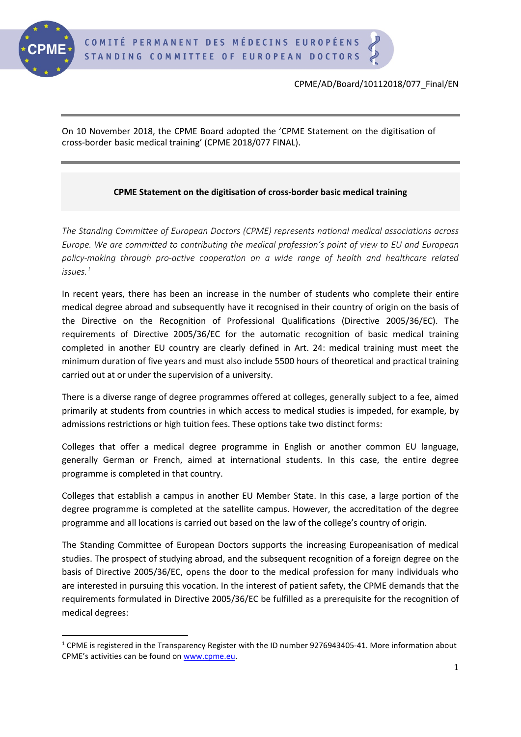

On 10 November 2018, the CPME Board adopted the 'CPME Statement on the digitisation of cross-border basic medical training' (CPME 2018/077 FINAL).

## **CPME Statement on the digitisation of cross-border basic medical training**

*The Standing Committee of European Doctors (CPME) represents national medical associations across Europe. We are committed to contributing the medical profession's point of view to EU and European policy-making through pro-active cooperation on a wide range of health and healthcare related issues.[1](#page-0-0)*

In recent years, there has been an increase in the number of students who complete their entire medical degree abroad and subsequently have it recognised in their country of origin on the basis of the Directive on the Recognition of Professional Qualifications (Directive 2005/36/EC). The requirements of Directive 2005/36/EC for the automatic recognition of basic medical training completed in another EU country are clearly defined in Art. 24: medical training must meet the minimum duration of five years and must also include 5500 hours of theoretical and practical training carried out at or under the supervision of a university.

There is a diverse range of degree programmes offered at colleges, generally subject to a fee, aimed primarily at students from countries in which access to medical studies is impeded, for example, by admissions restrictions or high tuition fees. These options take two distinct forms:

Colleges that offer a medical degree programme in English or another common EU language, generally German or French, aimed at international students. In this case, the entire degree programme is completed in that country.

Colleges that establish a campus in another EU Member State. In this case, a large portion of the degree programme is completed at the satellite campus. However, the accreditation of the degree programme and all locations is carried out based on the law of the college's country of origin.

The Standing Committee of European Doctors supports the increasing Europeanisation of medical studies. The prospect of studying abroad, and the subsequent recognition of a foreign degree on the basis of Directive 2005/36/EC, opens the door to the medical profession for many individuals who are interested in pursuing this vocation. In the interest of patient safety, the CPME demands that the requirements formulated in Directive 2005/36/EC be fulfilled as a prerequisite for the recognition of medical degrees:

<span id="page-0-0"></span> $1$  CPME is registered in the Transparency Register with the ID number 9276943405-41. More information about CPME's activities can be found on www.cpme.eu.